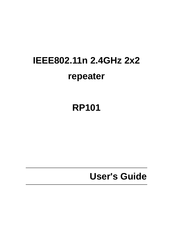# **IEEE802.11n 2.4GHz 2x2 repeater**

**RP101** 

**User's Guide**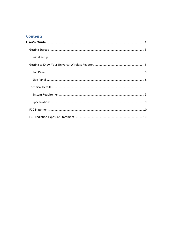#### **Contents**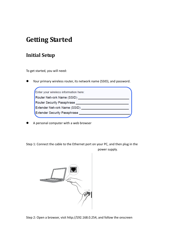### **Getting Started**

### **Initial Setup**

To get started, you will need:

Your primary wireless router, its network name (SSID), and password.

| Enter your wireless information here: |
|---------------------------------------|
| Router Network Name (SSID)            |
| Router Security Passphrase            |
| <b>Extender Network Name (SSID)</b>   |
| <b>Extender Security Passphrase</b>   |
|                                       |

A personal computer with a web browser

Step 1: Connect the cable to the Ethernet port on your PC, and then plug in the power supply.



Step 2: Open a browser, visit http://192.168.0.254, and follow the onscreen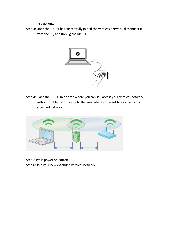instructions.

Step 3: Once the RP101 has successfully joined the wireless network, disconnect it from the PC, and unplug the RP101.



Step 4: Place the RP101 in an area where you can still access your wireless network without problems, but close to the area where you want to establish your extended network.



Step5: Press power on botton. Step 6: Join your new extended wireless network.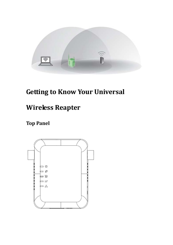

# **Getting to Know Your Universal**

## **Wireless Reapter**

### **Top Panel**

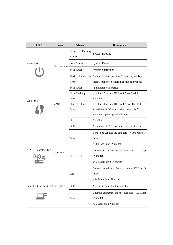| Label                                    | color       | <b>Behavior</b>                | <b>Description</b>                                                                             |
|------------------------------------------|-------------|--------------------------------|------------------------------------------------------------------------------------------------|
|                                          | Green/Amber | Slow<br>Flashing<br>Amber      | <b>System Booting</b>                                                                          |
| Power LED                                |             | Solid Amber                    | <b>System Failure</b>                                                                          |
|                                          |             | Solid Green                    | System operationa                                                                              |
|                                          |             | Flash<br>Amber<br>Green        | $\&$ (When Amber on then Green off, Amber off<br>then Green on) System upgrade in process      |
|                                          | Green       | Solid Green                    | (2 minutes) WPS started                                                                        |
| WPS LED                                  |             | Slow Flashing<br>Green         | (ON for 0.5 sec and OFF for 0.5 sec.) WPS<br>activities                                        |
|                                          |             | <b>Quick Flashing</b><br>Green | (ON for 0.1 sec and OFF for 0.1 sec. The flash<br>should last for 30 secs or when there is WPS |
|                                          |             |                                | activities happen again) WPS error                                                             |
|                                          |             | Off                            | No WPS                                                                                         |
|                                          | Green/Red   | OFF                            | Not connect to AP (Not configured or Disconnect)                                               |
|                                          |             | Green                          | Connect to AP and the data rate $> 100$ Mbps (N<br>mode)<br>> 36 Mbps (non-N mode)             |
| $AP \leftarrow \rightarrow$ Repeater LED |             | Green+Red                      | Connect to AP and the data rate 75-100 Mbps<br>(N mode)<br>24-36 Mbps (non-N mode)             |
|                                          |             | Red                            | Connect to AP and the data rate $<$ 75Mbps (N<br>mode)<br>< 24 Mbps (non- N mode)              |
| Repeater ← > Client LEI Green/Red        |             | <b>OFF</b>                     | No Client connect to this repeater                                                             |
|                                          |             | Green                          | Client(s) connected and the data rate $>100$ Mbps<br>(N mode)<br>>36 Mbps (non-N mode)         |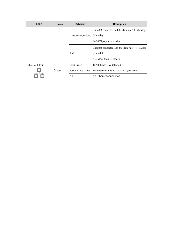| Label               | color       | <b>Behavior</b>            | <b>Description</b>                                                                                     |
|---------------------|-------------|----------------------------|--------------------------------------------------------------------------------------------------------|
|                     |             | Green+Red(Yellow)          | Client(s) connected and the data rate 100-75 Mbps<br>(N mode)<br>24-36Mbps(non-N mode)                 |
|                     |             | Red                        | Client(s) connected and the data rate $\langle$ 75Mbps<br>$(N \text{ mode})$<br>< 24Mbps (non- N mode) |
| <b>Ethernet LED</b> | Solid Green | 10/100Mbps Link detected   |                                                                                                        |
|                     | Green       | <b>Fast Flashing Green</b> | Receing/transmitting datat at 10/100Mbps                                                               |
|                     |             | Off                        | No Ethernet conneciton                                                                                 |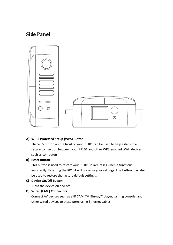### **Side Panel**



#### **A) Wi‐Fi Protected Setup (WPS) Button**

The WPS button on the front of your RP101 can be used to help establish a secure connection between your RP101 and other WPS-enabled Wi-Fi devices such as computers.

#### **B) Reset Button**

This button is used to restart your RP101 in rare cases when it functions incorrectly. Resetting the RP101 will preserve your settings. This button may also be used to restore the factory default settings.

#### **C) Device On/Off button**

Turns the device on and off.

#### **D) Wired (LAN ) Connectors**

Connect AV devices such as a IP CAM, TV, Blu‐ray™ player, gaming console, and other wired devices to these ports using Ethernet cables.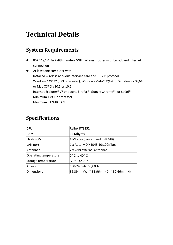# **Technical Details**

### **System Requirements**

- 802.11a/b/g/n 2.4GHz and/or 5GHz wireless router with broadband Internet connection
- At least one computer with: Installed wireless network interface card and TCP/IP protocol Windows® XP 32 (SP3 or greater), Windows Vista® 32/64, or Windows 7 32/64; or Mac OS® X v10.5 or 10.6 Internet Explorer® v7 or above, Firefox®, Google Chrome™, or Safari® Minimum 1.8GHz processor Minimum 512MB RAM

### **Specifications**

| <b>CPU</b>            | Ralink RT3352                        |
|-----------------------|--------------------------------------|
| <b>RAM</b>            | 64 Mbytes                            |
| Flash ROM             | 4 Mbytes (can expand to 8 MB)        |
| LAN port              | 1 x Auto-MDIX RJ45 10/100Mbps        |
| Antennae              | 2 x 2dbi external antennae           |
| Operating temperature | $0^\circ$ C to 40 $^\circ$ C         |
| Storage temperature   | $-20^\circ$ C to 70 $^\circ$ C       |
| AC input              | 100-240VAC 50/60Hz                   |
| <b>Dimensions</b>     | 86.39mm(W) * 81.96mm(D) * 32.66mm(H) |